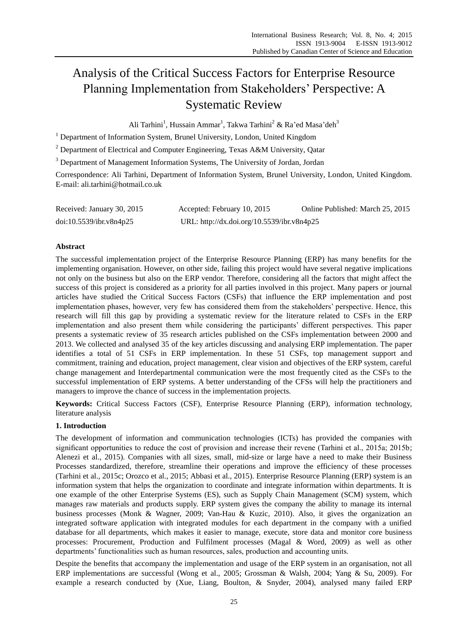# Analysis of the Critical Success Factors for Enterprise Resource Planning Implementation from Stakeholders' Perspective: A Systematic Review

Ali Tarhini<sup>1</sup>, Hussain Ammar<sup>1</sup>, Takwa Tarhini<sup>2</sup> & Ra'ed Masa'deh<sup>3</sup>

<sup>1</sup> Department of Information System, Brunel University, London, United Kingdom

 $2$  Department of Electrical and Computer Engineering, Texas A&M University, Oatar

<sup>3</sup> Department of Management Information Systems, The University of Jordan, Jordan

Correspondence: Ali Tarhini, Department of Information System, Brunel University, London, United Kingdom. E-mail: ali.tarhini@hotmail.co.uk

| Received: January 30, 2015 | Accepted: February 10, 2015                | Online Published: March 25, 2015 |
|----------------------------|--------------------------------------------|----------------------------------|
| doi:10.5539/ibr.v8n4p25    | URL: http://dx.doi.org/10.5539/ibr.v8n4p25 |                                  |

#### **Abstract**

The successful implementation project of the Enterprise Resource Planning (ERP) has many benefits for the implementing organisation. However, on other side, failing this project would have several negative implications not only on the business but also on the ERP vendor. Therefore, considering all the factors that might affect the success of this project is considered as a priority for all parties involved in this project. Many papers or journal articles have studied the Critical Success Factors (CSFs) that influence the ERP implementation and post implementation phases, however, very few has considered them from the stakeholders' perspective. Hence, this research will fill this gap by providing a systematic review for the literature related to CSFs in the ERP implementation and also present them while considering the participants' different perspectives. This paper presents a systematic review of 35 research articles published on the CSFs implementation between 2000 and 2013. We collected and analysed 35 of the key articles discussing and analysing ERP implementation. The paper identifies a total of 51 CSFs in ERP implementation. In these 51 CSFs, top management support and commitment, training and education, project management, clear vision and objectives of the ERP system, careful change management and Interdepartmental communication were the most frequently cited as the CSFs to the successful implementation of ERP systems. A better understanding of the CFSs will help the practitioners and managers to improve the chance of success in the implementation projects.

**Keywords:** Critical Success Factors (CSF), Enterprise Resource Planning (ERP), information technology, literature analysis

## **1. Introduction**

The development of information and communication technologies (ICTs) has provided the companies with significant opportunities to reduce the cost of provision and increase their revene (Tarhini et al., 2015a; 2015b; Alenezi et al., 2015). Companies with all sizes, small, mid-size or large have a need to make their Business Processes standardized, therefore, streamline their operations and improve the efficiency of these processes (Tarhini et al., 2015c; Orozco et al., 2015; Abbasi et al., 2015). Enterprise Resource Planning (ERP) system is an information system that helps the organization to coordinate and integrate information within departments. It is one example of the other Enterprise Systems (ES), such as Supply Chain Management (SCM) system, which manages raw materials and products supply. ERP system gives the company the ability to manage its internal business processes (Monk & Wagner, 2009; Van-Hau & Kuzic, 2010). Also, it gives the organization an integrated software application with integrated modules for each department in the company with a unified database for all departments, which makes it easier to manage, execute, store data and monitor core business processes: Procurement, Production and Fulfilment processes (Magal & Word, 2009) as well as other departments' functionalities such as human resources, sales, production and accounting units.

Despite the benefits that accompany the implementation and usage of the ERP system in an organisation, not all ERP implementations are successful (Wong et al., 2005; Grossman & Walsh, 2004; Yang & Su, 2009). For example a research conducted by (Xue, Liang, Boulton, & Snyder, 2004), analysed many failed ERP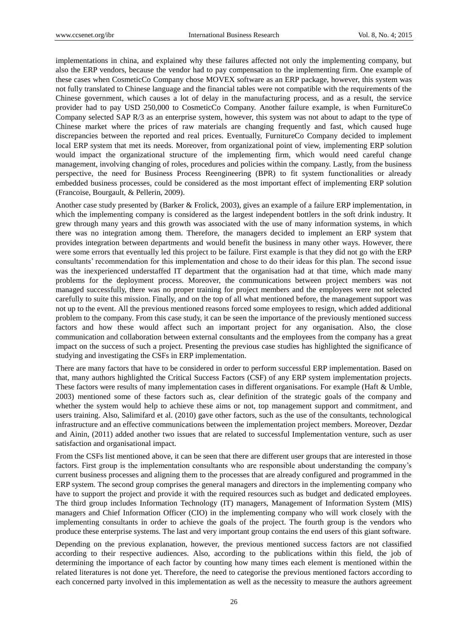implementations in china, and explained why these failures affected not only the implementing company, but also the ERP vendors, because the vendor had to pay compensation to the implementing firm. One example of these cases when CosmeticCo Company chose MOVEX software as an ERP package, however, this system was not fully translated to Chinese language and the financial tables were not compatible with the requirements of the Chinese government, which causes a lot of delay in the manufacturing process, and as a result, the service provider had to pay USD 250,000 to CosmeticCo Company. Another failure example, is when FurnitureCo Company selected SAP R/3 as an enterprise system, however, this system was not about to adapt to the type of Chinese market where the prices of raw materials are changing frequently and fast, which caused huge discrepancies between the reported and real prices. Eventually, FurnitureCo Company decided to implement local ERP system that met its needs. Moreover, from organizational point of view, implementing ERP solution would impact the organizational structure of the implementing firm, which would need careful change management, involving changing of roles, procedures and policies within the company. Lastly, from the business perspective, the need for Business Process Reengineering (BPR) to fit system functionalities or already embedded business processes, could be considered as the most important effect of implementing ERP solution (Francoise, Bourgault, & Pellerin, 2009).

Another case study presented by (Barker & Frolick, 2003), gives an example of a failure ERP implementation, in which the implementing company is considered as the largest independent bottlers in the soft drink industry. It grew through many years and this growth was associated with the use of many information systems, in which there was no integration among them. Therefore, the managers decided to implement an ERP system that provides integration between departments and would benefit the business in many other ways. However, there were some errors that eventually led this project to be failure. First example is that they did not go with the ERP consultants' recommendation for this implementation and chose to do their ideas for this plan. The second issue was the inexperienced understaffed IT department that the organisation had at that time, which made many problems for the deployment process. Moreover, the communications between project members was not managed successfully, there was no proper training for project members and the employees were not selected carefully to suite this mission. Finally, and on the top of all what mentioned before, the management support was not up to the event. All the previous mentioned reasons forced some employees to resign, which added additional problem to the company. From this case study, it can be seen the importance of the previously mentioned success factors and how these would affect such an important project for any organisation. Also, the close communication and collaboration between external consultants and the employees from the company has a great impact on the success of such a project. Presenting the previous case studies has highlighted the significance of studying and investigating the CSFs in ERP implementation.

There are many factors that have to be considered in order to perform successful ERP implementation. Based on that, many authors highlighted the Critical Success Factors (CSF) of any ERP system implementation projects. These factors were results of many implementation cases in different organisations. For example (Haft & Umble, 2003) mentioned some of these factors such as, clear definition of the strategic goals of the company and whether the system would help to achieve these aims or not, top management support and commitment, and users training. Also, Salimifard et al. (2010) gave other factors, such as the use of the consultants, technological infrastructure and an effective communications between the implementation project members. Moreover, Dezdar and Ainin, (2011) added another two issues that are related to successful Implementation venture, such as user satisfaction and organisational impact.

From the CSFs list mentioned above, it can be seen that there are different user groups that are interested in those factors. First group is the implementation consultants who are responsible about understanding the company's current business processes and aligning them to the processes that are already configured and programmed in the ERP system. The second group comprises the general managers and directors in the implementing company who have to support the project and provide it with the required resources such as budget and dedicated employees. The third group includes Information Technology (IT) managers, Management of Information System (MIS) managers and Chief Information Officer (CIO) in the implementing company who will work closely with the implementing consultants in order to achieve the goals of the project. The fourth group is the vendors who produce these enterprise systems. The last and very important group contains the end users of this giant software.

Depending on the previous explanation, however, the previous mentioned success factors are not classified according to their respective audiences. Also, according to the publications within this field, the job of determining the importance of each factor by counting how many times each element is mentioned within the related literatures is not done yet. Therefore, the need to categorise the previous mentioned factors according to each concerned party involved in this implementation as well as the necessity to measure the authors agreement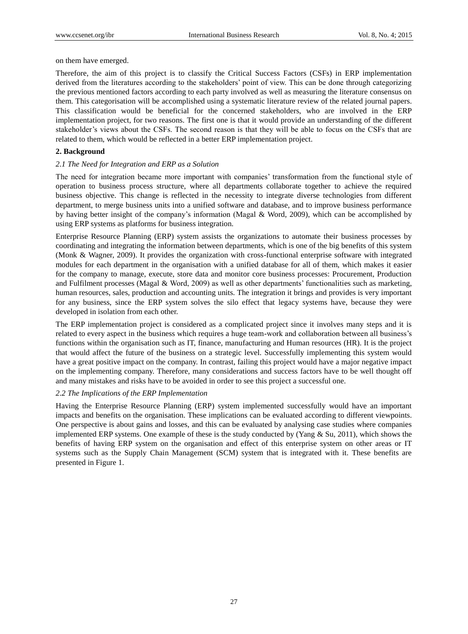on them have emerged.

Therefore, the aim of this project is to classify the Critical Success Factors (CSFs) in ERP implementation derived from the literatures according to the stakeholders' point of view. This can be done through categorizing the previous mentioned factors according to each party involved as well as measuring the literature consensus on them. This categorisation will be accomplished using a systematic literature review of the related journal papers. This classification would be beneficial for the concerned stakeholders, who are involved in the ERP implementation project, for two reasons. The first one is that it would provide an understanding of the different stakeholder's views about the CSFs. The second reason is that they will be able to focus on the CSFs that are related to them, which would be reflected in a better ERP implementation project.

#### **2. Background**

#### *2.1 The Need for Integration and ERP as a Solution*

The need for integration became more important with companies' transformation from the functional style of operation to business process structure, where all departments collaborate together to achieve the required business objective. This change is reflected in the necessity to integrate diverse technologies from different department, to merge business units into a unified software and database, and to improve business performance by having better insight of the company's information (Magal & Word, 2009), which can be accomplished by using ERP systems as platforms for business integration.

Enterprise Resource Planning (ERP) system assists the organizations to automate their business processes by coordinating and integrating the information between departments, which is one of the big benefits of this system (Monk & Wagner, 2009). It provides the organization with cross-functional enterprise software with integrated modules for each department in the organisation with a unified database for all of them, which makes it easier for the company to manage, execute, store data and monitor core business processes: Procurement, Production and Fulfilment processes (Magal & Word, 2009) as well as other departments' functionalities such as marketing, human resources, sales, production and accounting units. The integration it brings and provides is very important for any business, since the ERP system solves the silo effect that legacy systems have, because they were developed in isolation from each other.

The ERP implementation project is considered as a complicated project since it involves many steps and it is related to every aspect in the business which requires a huge team-work and collaboration between all business's functions within the organisation such as IT, finance, manufacturing and Human resources (HR). It is the project that would affect the future of the business on a strategic level. Successfully implementing this system would have a great positive impact on the company. In contrast, failing this project would have a major negative impact on the implementing company. Therefore, many considerations and success factors have to be well thought off and many mistakes and risks have to be avoided in order to see this project a successful one.

## *2.2 The Implications of the ERP Implementation*

Having the Enterprise Resource Planning (ERP) system implemented successfully would have an important impacts and benefits on the organisation. These implications can be evaluated according to different viewpoints. One perspective is about gains and losses, and this can be evaluated by analysing case studies where companies implemented ERP systems. One example of these is the study conducted by (Yang & Su, 2011), which shows the benefits of having ERP system on the organisation and effect of this enterprise system on other areas or IT systems such as the Supply Chain Management (SCM) system that is integrated with it. These benefits are presented in Figure 1.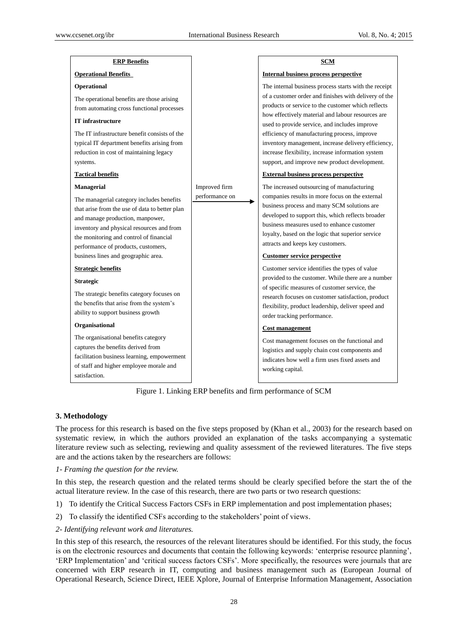| <b>ERP Benefits</b>                                                                                                                                                                                                                                                                                                                                                                                                                                                                                          |                                 | SCM                                                                                                                                                                                                                                                                                                                                                                                                                                                                                                                                                                                                                                                                                  |
|--------------------------------------------------------------------------------------------------------------------------------------------------------------------------------------------------------------------------------------------------------------------------------------------------------------------------------------------------------------------------------------------------------------------------------------------------------------------------------------------------------------|---------------------------------|--------------------------------------------------------------------------------------------------------------------------------------------------------------------------------------------------------------------------------------------------------------------------------------------------------------------------------------------------------------------------------------------------------------------------------------------------------------------------------------------------------------------------------------------------------------------------------------------------------------------------------------------------------------------------------------|
| <b>Operational Benefits</b>                                                                                                                                                                                                                                                                                                                                                                                                                                                                                  |                                 | Internal business process perspective                                                                                                                                                                                                                                                                                                                                                                                                                                                                                                                                                                                                                                                |
| Operational                                                                                                                                                                                                                                                                                                                                                                                                                                                                                                  |                                 | The internal business process starts with the receipt                                                                                                                                                                                                                                                                                                                                                                                                                                                                                                                                                                                                                                |
| The operational benefits are those arising<br>from automating cross functional processes<br><b>IT</b> infrastructure                                                                                                                                                                                                                                                                                                                                                                                         |                                 | of a customer order and finishes with delivery of the<br>products or service to the customer which reflects<br>how effectively material and labour resources are<br>used to provide service, and includes improve                                                                                                                                                                                                                                                                                                                                                                                                                                                                    |
| The IT infrastructure benefit consists of the<br>typical IT department benefits arising from<br>reduction in cost of maintaining legacy<br>systems.                                                                                                                                                                                                                                                                                                                                                          |                                 | efficiency of manufacturing process, improve<br>inventory management, increase delivery efficiency,<br>increase flexibility, increase information system<br>support, and improve new product development.                                                                                                                                                                                                                                                                                                                                                                                                                                                                            |
| <b>Tactical benefits</b>                                                                                                                                                                                                                                                                                                                                                                                                                                                                                     |                                 | <b>External business process perspective</b>                                                                                                                                                                                                                                                                                                                                                                                                                                                                                                                                                                                                                                         |
| <b>Managerial</b><br>The managerial category includes benefits<br>that arise from the use of data to better plan<br>and manage production, manpower,<br>inventory and physical resources and from<br>the monitoring and control of financial<br>performance of products, customers,<br>business lines and geographic area.<br><b>Strategic benefits</b><br><b>Strategic</b><br>The strategic benefits category focuses on<br>the benefits that arise from the system's<br>ability to support business growth | Improved firm<br>performance on | The increased outsourcing of manufacturing<br>companies results in more focus on the external<br>business process and many SCM solutions are<br>developed to support this, which reflects broader<br>business measures used to enhance customer<br>loyalty, based on the logic that superior service<br>attracts and keeps key customers.<br><b>Customer service perspective</b><br>Customer service identifies the types of value<br>provided to the customer. While there are a number<br>of specific measures of customer service, the<br>research focuses on customer satisfaction, product<br>flexibility, product leadership, deliver speed and<br>order tracking performance. |
| Organisational<br>The organisational benefits category<br>captures the benefits derived from<br>facilitation business learning, empowerment<br>of staff and higher employee morale and<br>satisfaction.                                                                                                                                                                                                                                                                                                      |                                 | <b>Cost management</b><br>Cost management focuses on the functional and<br>logistics and supply chain cost components and<br>indicates how well a firm uses fixed assets and<br>working capital.                                                                                                                                                                                                                                                                                                                                                                                                                                                                                     |

Figure 1. Linking ERP benefits and firm performance of SCM

## **3. Methodology**

The process for this research is based on the five steps proposed by (Khan et al., 2003) for the research based on systematic review, in which the authors provided an explanation of the tasks accompanying a systematic literature review such as selecting, reviewing and quality assessment of the reviewed literatures. The five steps are and the actions taken by the researchers are follows:

## *1- Framing the question for the review.*

In this step, the research question and the related terms should be clearly specified before the start the of the actual literature review. In the case of this research, there are two parts or two research questions:

- 1) To identify the Critical Success Factors CSFs in ERP implementation and post implementation phases;
- 2) To classify the identified CSFs according to the stakeholders' point of views.
- *2- Identifying relevant work and literatures.*

In this step of this research, the resources of the relevant literatures should be identified. For this study, the focus is on the electronic resources and documents that contain the following keywords: 'enterprise resource planning', 'ERP Implementation' and 'critical success factors CSFs'. More specifically, the resources were journals that are concerned with ERP research in IT, computing and business management such as (European Journal of Operational Research, Science Direct, IEEE Xplore, Journal of Enterprise Information Management, Association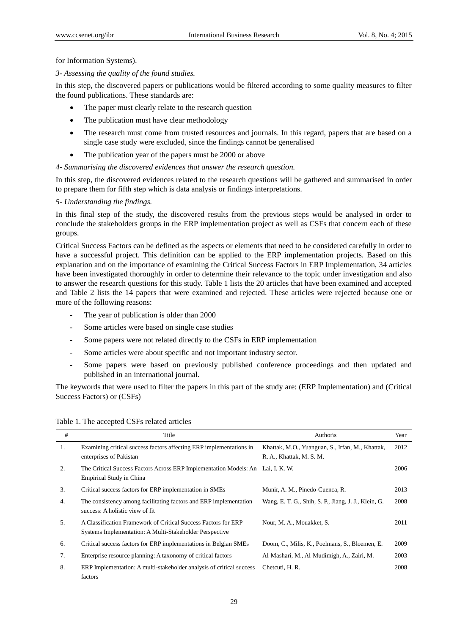for Information Systems).

## *3- Assessing the quality of the found studies.*

In this step, the discovered papers or publications would be filtered according to some quality measures to filter the found publications. These standards are:

- The paper must clearly relate to the research question
- The publication must have clear methodology
- The research must come from trusted resources and journals. In this regard, papers that are based on a single case study were excluded, since the findings cannot be generalised
- The publication year of the papers must be 2000 or above
- *4- Summarising the discovered evidences that answer the research question.*

In this step, the discovered evidences related to the research questions will be gathered and summarised in order to prepare them for fifth step which is data analysis or findings interpretations.

## *5- Understanding the findings.*

In this final step of the study, the discovered results from the previous steps would be analysed in order to conclude the stakeholders groups in the ERP implementation project as well as CSFs that concern each of these groups.

Critical Success Factors can be defined as the aspects or elements that need to be considered carefully in order to have a successful project. This definition can be applied to the ERP implementation projects. Based on this explanation and on the importance of examining the Critical Success Factors in ERP Implementation, 34 articles have been investigated thoroughly in order to determine their relevance to the topic under investigation and also to answer the research questions for this study. Table 1 lists the 20 articles that have been examined and accepted and Table 2 lists the 14 papers that were examined and rejected. These articles were rejected because one or more of the following reasons:

- The year of publication is older than 2000
- Some articles were based on single case studies
- Some papers were not related directly to the CSFs in ERP implementation
- Some articles were about specific and not important industry sector.
- Some papers were based on previously published conference proceedings and then updated and published in an international journal.

The keywords that were used to filter the papers in this part of the study are: (ERP Implementation) and (Critical Success Factors) or (CSFs)

| #  | Title                                                                                                                     | Author $\mathsf{\setminus s}$                                                | Year |
|----|---------------------------------------------------------------------------------------------------------------------------|------------------------------------------------------------------------------|------|
| 1. | Examining critical success factors affecting ERP implementations in<br>enterprises of Pakistan                            | Khattak, M.O., Yuanguan, S., Irfan, M., Khattak,<br>R. A., Khattak, M. S. M. | 2012 |
| 2. | The Critical Success Factors Across ERP Implementation Models: An Lai, I. K. W.<br><b>Empirical Study in China</b>        |                                                                              | 2006 |
| 3. | Critical success factors for ERP implementation in SMEs                                                                   | Munir, A. M., Pinedo-Cuenca, R.                                              | 2013 |
| 4. | The consistency among facilitating factors and ERP implementation<br>success: A holistic view of fit                      | Wang, E. T. G., Shih, S. P., Jiang, J. J., Klein, G.                         | 2008 |
| 5. | A Classification Framework of Critical Success Factors for ERP<br>Systems Implementation: A Multi-Stakeholder Perspective | Nour, M. A., Mouakket, S.                                                    | 2011 |
| 6. | Critical success factors for ERP implementations in Belgian SMEs                                                          | Doom, C., Milis, K., Poelmans, S., Bloemen, E.                               | 2009 |
| 7. | Enterprise resource planning: A taxonomy of critical factors                                                              | Al-Mashari, M., Al-Mudimigh, A., Zairi, M.                                   | 2003 |
| 8. | ERP Implementation: A multi-stakeholder analysis of critical success<br>factors                                           | Chetcuti, H. R.                                                              | 2008 |

Table 1. The accepted CSFs related articles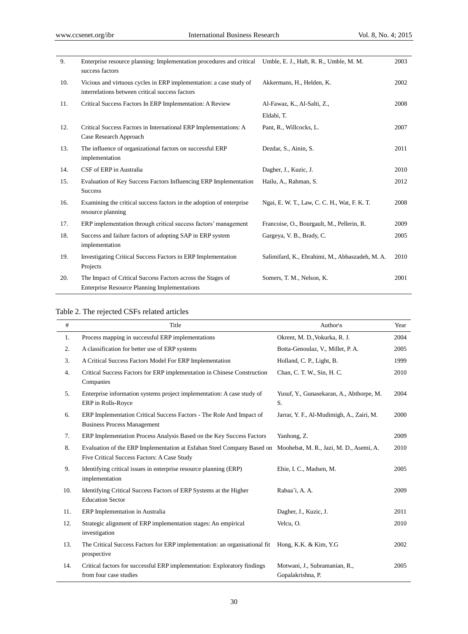| 9.  | Enterprise resource planning: Implementation procedures and critical<br>success factors                               | Umble, E. J., Haft, R. R., Umble, M. M.         | 2003 |
|-----|-----------------------------------------------------------------------------------------------------------------------|-------------------------------------------------|------|
| 10. | Vicious and virtuous cycles in ERP implementation: a case study of<br>interrelations between critical success factors | Akkermans, H., Helden, K.                       | 2002 |
| 11. | Critical Success Factors In ERP Implementation: A Review                                                              | Al-Fawaz, K., Al-Salti, Z.,                     | 2008 |
|     |                                                                                                                       | Eldabi, T.                                      |      |
| 12. | Critical Success Factors in International ERP Implementations: A<br>Case Research Approach                            | Pant, R., Willcocks, L.                         | 2007 |
| 13. | The influence of organizational factors on successful ERP<br>implementation                                           | Dezdar, S., Ainin, S.                           | 2011 |
| 14. | CSF of ERP in Australia                                                                                               | Dagher, J., Kuzic, J.                           | 2010 |
| 15. | Evaluation of Key Success Factors Influencing ERP Implementation<br><b>Success</b>                                    | Hailu, A., Rahman, S.                           | 2012 |
| 16. | Examining the critical success factors in the adoption of enterprise<br>resource planning                             | Ngai, E. W. T., Law, C. C. H., Wat, F. K. T.    | 2008 |
| 17. | ERP implementation through critical success factors' management                                                       | Francoise, O., Bourgault, M., Pellerin, R.      | 2009 |
| 18. | Success and failure factors of adopting SAP in ERP system<br>implementation                                           | Gargeya, V. B., Brady, C.                       | 2005 |
| 19. | <b>Investigating Critical Success Factors in ERP Implementation</b><br>Projects                                       | Salimifard, K., Ebrahimi, M., Abbaszadeh, M. A. | 2010 |
| 20. | The Impact of Critical Success Factors across the Stages of<br><b>Enterprise Resource Planning Implementations</b>    | Somers, T. M., Nelson, K.                       | 2001 |

## Table 2. The rejected CSFs related articles

| #   | Title                                                                                                                                                         | Author $\mathsf{\&}$                               | Year |
|-----|---------------------------------------------------------------------------------------------------------------------------------------------------------------|----------------------------------------------------|------|
| 1.  | Process mapping in successful ERP implementations                                                                                                             | Okrent, M. D., Vokurka, R. J.                      | 2004 |
| 2.  | A classification for better use of ERP systems                                                                                                                | Botta-Genoulaz, V., Millet, P.A.                   | 2005 |
| 3.  | A Critical Success Factors Model For ERP Implementation                                                                                                       | Holland, C. P., Light, B.                          | 1999 |
| 4.  | Critical Success Factors for ERP implementation in Chinese Construction<br>Companies                                                                          | Chan, C. T. W., Sin, H. C.                         | 2010 |
| 5.  | Enterprise information systems project implementation: A case study of<br>ERP in Rolls-Royce                                                                  | Yusuf, Y., Gunasekaran, A., Abthorpe, M.<br>S.     | 2004 |
| 6.  | ERP Implementation Critical Success Factors - The Role And Impact of<br><b>Business Process Management</b>                                                    | Jarrar, Y. F., Al-Mudimigh, A., Zairi, M.          | 2000 |
| 7.  | ERP Implementation Process Analysis Based on the Key Success Factors                                                                                          | Yanhong, Z.                                        | 2009 |
| 8.  | Evaluation of the ERP Implementation at Esfahan Steel Company Based on Moohebat, M. R., Jazi, M. D., Asemi, A.<br>Five Critical Success Factors: A Case Study |                                                    | 2010 |
| 9.  | Identifying critical issues in enterprise resource planning (ERP)<br>implementation                                                                           | Ehie, I. C., Madsen, M.                            | 2005 |
| 10. | Identifying Critical Success Factors of ERP Systems at the Higher<br><b>Education Sector</b>                                                                  | Rabaa'i, A. A.                                     | 2009 |
| 11. | ERP Implementation in Australia                                                                                                                               | Dagher, J., Kuzic, J.                              | 2011 |
| 12. | Strategic alignment of ERP implementation stages: An empirical<br>investigation                                                                               | Velcu, O.                                          | 2010 |
| 13. | The Critical Success Factors for ERP implementation: an organisational fit Hong, K.K. & Kim, Y.G.<br>prospective                                              |                                                    | 2002 |
| 14. | Critical factors for successful ERP implementation: Exploratory findings<br>from four case studies                                                            | Motwani, J., Subramanian, R.,<br>Gopalakrishna, P. | 2005 |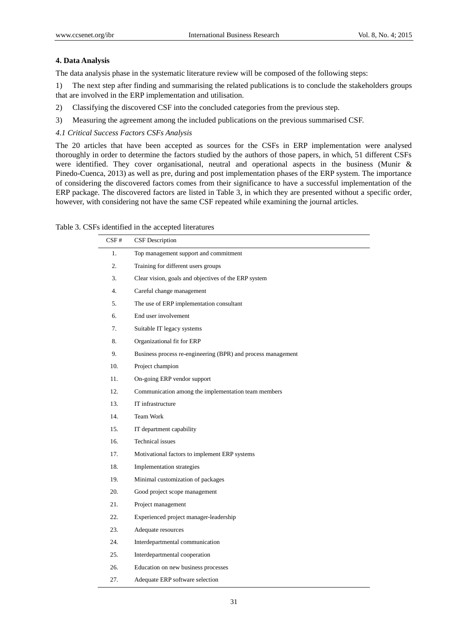#### **4. Data Analysis**

The data analysis phase in the systematic literature review will be composed of the following steps:

1) The next step after finding and summarising the related publications is to conclude the stakeholders groups that are involved in the ERP implementation and utilisation.

- 2) Classifying the discovered CSF into the concluded categories from the previous step.
- 3) Measuring the agreement among the included publications on the previous summarised CSF.

#### *4.1 Critical Success Factors CSFs Analysis*

The 20 articles that have been accepted as sources for the CSFs in ERP implementation were analysed thoroughly in order to determine the factors studied by the authors of those papers, in which, 51 different CSFs were identified. They cover organisational, neutral and operational aspects in the business (Munir & Pinedo-Cuenca, 2013) as well as pre, during and post implementation phases of the ERP system. The importance of considering the discovered factors comes from their significance to have a successful implementation of the ERP package. The discovered factors are listed in Table 3, in which they are presented without a specific order, however, with considering not have the same CSF repeated while examining the journal articles.

## Table 3. CSFs identified in the accepted literatures

| CSF# | <b>CSF</b> Description                                       |
|------|--------------------------------------------------------------|
| 1.   | Top management support and commitment                        |
| 2.   | Training for different users groups                          |
| 3.   | Clear vision, goals and objectives of the ERP system         |
| 4.   | Careful change management                                    |
| 5.   | The use of ERP implementation consultant                     |
| 6.   | End user involvement                                         |
| 7.   | Suitable IT legacy systems                                   |
| 8.   | Organizational fit for ERP                                   |
| 9.   | Business process re-engineering (BPR) and process management |
| 10.  | Project champion                                             |
| 11.  | On-going ERP vendor support                                  |
| 12.  | Communication among the implementation team members          |
| 13.  | IT infrastructure                                            |
| 14.  | <b>Team Work</b>                                             |
| 15.  | IT department capability                                     |
| 16.  | Technical issues                                             |
| 17.  | Motivational factors to implement ERP systems                |
| 18.  | Implementation strategies                                    |
| 19.  | Minimal customization of packages                            |
| 20.  | Good project scope management                                |
| 21.  | Project management                                           |
| 22.  | Experienced project manager-leadership                       |
| 23.  | Adequate resources                                           |
| 24.  | Interdepartmental communication                              |
| 25.  | Interdepartmental cooperation                                |
| 26.  | Education on new business processes                          |
| 27.  | Adequate ERP software selection                              |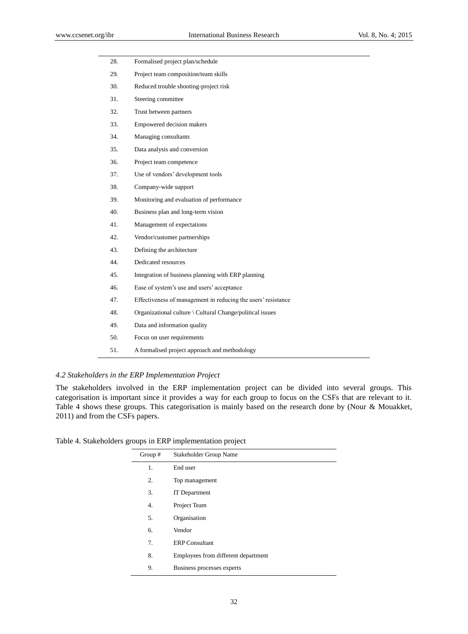| 28. | Formalised project plan/schedule                              |
|-----|---------------------------------------------------------------|
| 29. | Project team composition/team skills                          |
| 30. | Reduced trouble shooting-project risk                         |
| 31. | Steering committee                                            |
| 32. | Trust between partners                                        |
| 33. | Empowered decision makers                                     |
| 34. | Managing consultants                                          |
| 35. | Data analysis and conversion                                  |
| 36. | Project team competence                                       |
| 37. | Use of vendors' development tools                             |
| 38. | Company-wide support                                          |
| 39. | Monitoring and evaluation of performance                      |
| 40. | Business plan and long-term vision                            |
| 41. | Management of expectations                                    |
| 42. | Vendor/customer partnerships                                  |
| 43. | Defining the architecture                                     |
| 44. | Dedicated resources                                           |
| 45. | Integration of business planning with ERP planning            |
| 46. | Ease of system's use and users' acceptance                    |
| 47. | Effectiveness of management in reducing the users' resistance |
| 48. | Organizational culture \ Cultural Change/political issues     |
| 49. | Data and information quality                                  |
| 50. | Focus on user requirements                                    |
| 51. | A formalised project approach and methodology                 |

## *4.2 Stakeholders in the ERP Implementation Project*

The stakeholders involved in the ERP implementation project can be divided into several groups. This categorisation is important since it provides a way for each group to focus on the CSFs that are relevant to it. Table 4 shows these groups. This categorisation is mainly based on the research done by (Nour & Mouakket, 2011) and from the CSFs papers.

Table 4. Stakeholders groups in ERP implementation project

l,

| Group $#$ | Stakeholder Group Name              |
|-----------|-------------------------------------|
| 1.        | End user                            |
| 2.        | Top management                      |
| 3.        | <b>IT</b> Department                |
| 4.        | Project Team                        |
| 5.        | Organisation                        |
| 6.        | Vendor                              |
| 7.        | <b>ERP</b> Consultant               |
| 8.        | Employees from different department |
| 9.        | Business processes experts          |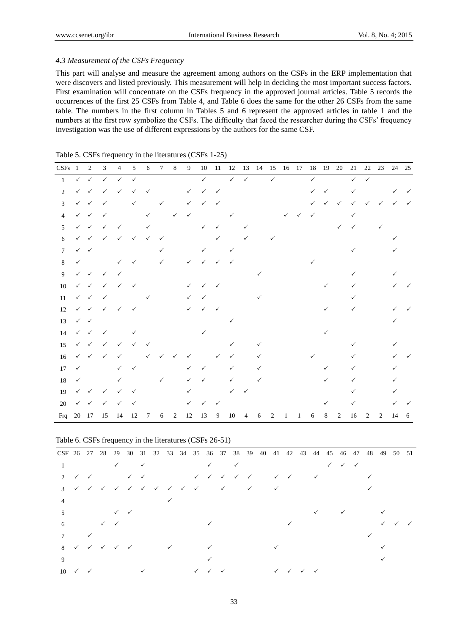## *4.3 Measurement of the CSFs Frequency*

This part will analyse and measure the agreement among authors on the CSFs in the ERP implementation that were discovers and listed previously. This measurement will help in deciding the most important success factors. First examination will concentrate on the CSFs frequency in the approved journal articles. Table 5 records the occurrences of the first 25 CSFs from Table 4, and Table 6 does the same for the other 26 CSFs from the same table. The numbers in the first column in Tables 5 and 6 represent the approved articles in table 1 and the numbers at the first row symbolize the CSFs. The difficulty that faced the researcher during the CSFs' frequency investigation was the use of different expressions by the authors for the same CSF.

| $CSFs$ 1       |              | $\overline{2}$            | $\mathfrak{Z}$                         | $\overline{4}$            | $5\phantom{.0}$ | 6               | $7\overline{ }$ | $\,8\,$      | 9            | 10           | -11          | 12           |              | 13 14        |                |   |   | 15  16  17  18  19  20 |              |                | 21           |              | 22 23        | 24 25        |              |
|----------------|--------------|---------------------------|----------------------------------------|---------------------------|-----------------|-----------------|-----------------|--------------|--------------|--------------|--------------|--------------|--------------|--------------|----------------|---|---|------------------------|--------------|----------------|--------------|--------------|--------------|--------------|--------------|
| $\mathbf{1}$   |              | $\checkmark$ $\checkmark$ | $\checkmark$                           | $\checkmark$              | $\checkmark$    |                 |                 |              |              | $\checkmark$ |              | $\checkmark$ | $\checkmark$ |              | $\checkmark$   |   |   | $\checkmark$           |              |                | $\checkmark$ | $\checkmark$ |              |              |              |
| 2              |              | $\checkmark$ $\checkmark$ | $\checkmark$                           | $\checkmark$              | $\checkmark$    | $\checkmark$    |                 |              | $\checkmark$ | $\checkmark$ | $\checkmark$ |              |              |              |                |   |   | ✓                      | ✓            |                | $\checkmark$ |              |              | $\checkmark$ | $\checkmark$ |
| 3              |              | $\checkmark$ $\checkmark$ | $\checkmark$                           |                           | $\checkmark$    |                 | $\checkmark$    |              | $\checkmark$ | $\checkmark$ | $\checkmark$ |              |              |              |                |   |   | $\checkmark$           | $\checkmark$ | $\checkmark$   | $\checkmark$ | $\checkmark$ | $\checkmark$ | $\checkmark$ | $\checkmark$ |
| $\overline{4}$ |              | $\checkmark$ $\checkmark$ | $\checkmark$                           |                           |                 | $\checkmark$    |                 | $\checkmark$ | $\checkmark$ |              |              | $\checkmark$ |              |              |                |   | ✓ | $\checkmark$           |              |                | $\checkmark$ |              |              |              |              |
| 5              |              | $\checkmark$              | $\checkmark$                           | $\checkmark$              |                 | $\checkmark$    |                 |              |              | $\checkmark$ | $\checkmark$ |              | ✓            |              |                |   |   |                        |              | $\checkmark$   | $\checkmark$ |              | $\checkmark$ |              |              |
| 6              | $\checkmark$ | $\checkmark$              | $\checkmark$                           | $\checkmark$              | $\checkmark$    | $\checkmark$    | $\checkmark$    |              |              |              | $\checkmark$ |              | ✓            |              | $\checkmark$   |   |   |                        |              |                |              |              |              |              |              |
| $\tau$         | $\checkmark$ | $\checkmark$              |                                        |                           |                 |                 |                 |              |              | $\checkmark$ |              | $\checkmark$ |              |              |                |   |   |                        |              |                | $\checkmark$ |              |              | $\checkmark$ |              |
| 8              | $\checkmark$ |                           |                                        | $\checkmark$              | ✓               |                 | ✓               |              | $\checkmark$ | $\checkmark$ | $\checkmark$ | $\checkmark$ |              |              |                |   |   |                        |              |                |              |              |              |              |              |
| 9              |              |                           | $\checkmark$ $\checkmark$ $\checkmark$ | $\checkmark$              |                 |                 |                 |              |              |              |              |              |              |              |                |   |   |                        |              |                | $\checkmark$ |              |              | ✓            |              |
| 10             |              | $\checkmark$ $\checkmark$ | $\checkmark$                           | $\checkmark$              |                 |                 |                 |              | $\checkmark$ | $\checkmark$ | $\checkmark$ |              |              |              |                |   |   |                        | $\checkmark$ |                | ✓            |              |              |              |              |
| 11             |              | $\checkmark$ $\checkmark$ | $\checkmark$                           |                           |                 | $\checkmark$    |                 |              | $\checkmark$ | $\checkmark$ |              |              |              | ✓            |                |   |   |                        |              |                | ✓            |              |              |              |              |
| 12             |              | $\checkmark$ $\checkmark$ | $\checkmark$                           | $\checkmark$ $\checkmark$ |                 |                 |                 |              | $\checkmark$ | $\checkmark$ | $\checkmark$ |              |              |              |                |   |   |                        | $\checkmark$ |                | $\checkmark$ |              |              |              |              |
| 13             |              | $\checkmark$ $\checkmark$ |                                        |                           |                 |                 |                 |              |              |              |              |              |              |              |                |   |   |                        |              |                |              |              |              |              |              |
| 14             |              | $\checkmark$ $\checkmark$ | $\checkmark$                           |                           | $\checkmark$    |                 |                 |              |              | $\checkmark$ |              |              |              |              |                |   |   |                        | ✓            |                |              |              |              |              |              |
| 15             |              | $\checkmark$ $\checkmark$ | $\checkmark$                           | $\checkmark$              | $\checkmark$    | $\checkmark$    |                 |              |              |              |              | $\checkmark$ |              | $\checkmark$ |                |   |   |                        |              |                | $\checkmark$ |              |              | ✓            |              |
| 16             | $\checkmark$ | $\checkmark$              | ✓                                      | $\checkmark$              |                 | $\checkmark$    | ✓               |              | ✓            |              | $\checkmark$ | ✓            |              |              |                |   |   |                        |              |                | ✓            |              |              |              |              |
| 17             | $\checkmark$ |                           |                                        | $\checkmark$              | $\checkmark$    |                 |                 |              | $\checkmark$ | $\checkmark$ |              | $\checkmark$ |              | ✓            |                |   |   |                        | $\checkmark$ |                | $\checkmark$ |              |              | ✓            |              |
| 18             | $\checkmark$ |                           |                                        | $\checkmark$              |                 |                 | $\checkmark$    |              | ✓            | $\checkmark$ |              | ✓            |              | ✓            |                |   |   |                        | $\checkmark$ |                | ✓            |              |              | ✓            |              |
| 19             | $\checkmark$ | $\checkmark$              | $\checkmark$                           | ✓                         | ✓               |                 |                 |              | ✓            |              |              | ✓            | $\checkmark$ |              |                |   |   |                        |              |                | ✓            |              |              | ✓            |              |
| 20             | $\checkmark$ | $\checkmark$              | $\checkmark$                           | $\checkmark$              | $\checkmark$    |                 |                 |              | ✓            | $\checkmark$ | $\checkmark$ |              |              |              |                |   |   |                        | ✓            |                | ✓            |              |              |              |              |
| Frq            |              | 20 17                     | 15                                     | 14                        | 12              | $7\phantom{.0}$ | 6               | 2            | 12           | 13           | 9            | 10           | 4            | 6            | $\overline{c}$ | 1 | 1 | 6                      | 8            | $\overline{2}$ | 16           | 2            | 2            | 14           | -6           |

|  |  |  |  | Table 5. CSFs frequency in the literatures (CSFs 1-25) |  |  |  |
|--|--|--|--|--------------------------------------------------------|--|--|--|
|--|--|--|--|--------------------------------------------------------|--|--|--|

Table 6. CSFs frequency in the literatures (CSFs 26-51)

| CSF 26 27 28 29 30 31 32 33 34 35 36 37 38 39 40 41 42 43 44 45 46 47 48 49 50 51 |                             |                                               |                           |  |                                                                                                                                                                                                                                                                                                                                                                                       |              |  |                                            |  |  |                                                     |  |                                        |  |  |  |
|-----------------------------------------------------------------------------------|-----------------------------|-----------------------------------------------|---------------------------|--|---------------------------------------------------------------------------------------------------------------------------------------------------------------------------------------------------------------------------------------------------------------------------------------------------------------------------------------------------------------------------------------|--------------|--|--------------------------------------------|--|--|-----------------------------------------------------|--|----------------------------------------|--|--|--|
|                                                                                   |                             |                                               |                           |  | $\checkmark$ and $\checkmark$ and $\checkmark$ and $\checkmark$ and $\checkmark$ and $\checkmark$ and $\checkmark$ and $\checkmark$ and $\checkmark$ and $\checkmark$ and $\checkmark$ and $\checkmark$ and $\checkmark$ and $\checkmark$ and $\checkmark$ and $\checkmark$ and $\checkmark$ and $\checkmark$ and $\checkmark$ and $\checkmark$ and $\checkmark$ and $\checkmark$ and |              |  |                                            |  |  |                                                     |  | $\checkmark$ $\checkmark$ $\checkmark$ |  |  |  |
|                                                                                   | 2 $\checkmark$ $\checkmark$ |                                               |                           |  |                                                                                                                                                                                                                                                                                                                                                                                       |              |  |                                            |  |  |                                                     |  |                                        |  |  |  |
|                                                                                   |                             |                                               |                           |  | $3$ $\checkmark$ $\checkmark$ $\checkmark$ $\checkmark$ $\checkmark$ $\checkmark$ $\checkmark$ $\checkmark$ $\checkmark$ $\checkmark$ $\checkmark$ $\checkmark$ $\checkmark$ $\checkmark$                                                                                                                                                                                             |              |  |                                            |  |  |                                                     |  |                                        |  |  |  |
| 4                                                                                 |                             |                                               |                           |  |                                                                                                                                                                                                                                                                                                                                                                                       |              |  |                                            |  |  |                                                     |  |                                        |  |  |  |
| 5                                                                                 |                             |                                               | $\checkmark$ $\checkmark$ |  |                                                                                                                                                                                                                                                                                                                                                                                       |              |  |                                            |  |  |                                                     |  | $\checkmark$                           |  |  |  |
| 6                                                                                 |                             | $\checkmark$ $\checkmark$                     |                           |  |                                                                                                                                                                                                                                                                                                                                                                                       |              |  |                                            |  |  | $\checkmark$                                        |  |                                        |  |  |  |
|                                                                                   | $\checkmark$                |                                               |                           |  |                                                                                                                                                                                                                                                                                                                                                                                       |              |  |                                            |  |  |                                                     |  |                                        |  |  |  |
|                                                                                   |                             | $8 \times \times \times \times \times \times$ |                           |  |                                                                                                                                                                                                                                                                                                                                                                                       | $\checkmark$ |  |                                            |  |  |                                                     |  |                                        |  |  |  |
| 9                                                                                 |                             |                                               |                           |  |                                                                                                                                                                                                                                                                                                                                                                                       |              |  |                                            |  |  |                                                     |  |                                        |  |  |  |
| $10 \checkmark \checkmark$                                                        |                             |                                               |                           |  |                                                                                                                                                                                                                                                                                                                                                                                       |              |  | $\checkmark\quad\checkmark\quad\checkmark$ |  |  | $\checkmark$ $\checkmark$ $\checkmark$ $\checkmark$ |  |                                        |  |  |  |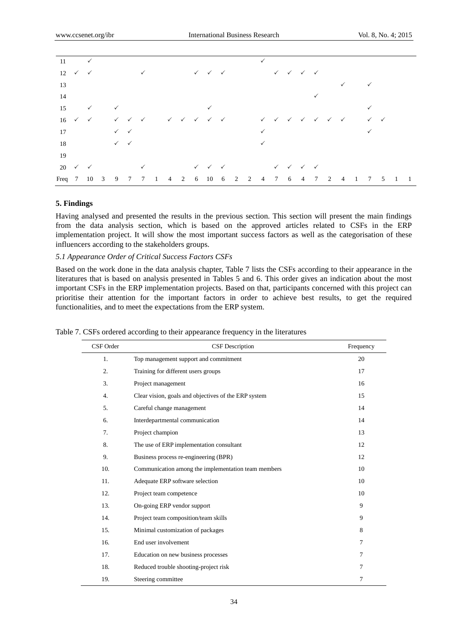| $11 \quad \checkmark$                          |              |              |                           |                                        |  |  |                                                                                                                                                                                                                                                                                                                                                                                       |  | $\checkmark$ |                                                     |  |  |                |              |  |  |
|------------------------------------------------|--------------|--------------|---------------------------|----------------------------------------|--|--|---------------------------------------------------------------------------------------------------------------------------------------------------------------------------------------------------------------------------------------------------------------------------------------------------------------------------------------------------------------------------------------|--|--------------|-----------------------------------------------------|--|--|----------------|--------------|--|--|
| $12 \checkmark \checkmark$                     |              |              |                           |                                        |  |  | $\checkmark$ and $\checkmark$ and $\checkmark$ and $\checkmark$ and $\checkmark$ and $\checkmark$ and $\checkmark$ and $\checkmark$ and $\checkmark$ and $\checkmark$ and $\checkmark$ and $\checkmark$ and $\checkmark$ and $\checkmark$ and $\checkmark$ and $\checkmark$ and $\checkmark$ and $\checkmark$ and $\checkmark$ and $\checkmark$ and $\checkmark$ and $\checkmark$ and |  |              |                                                     |  |  |                |              |  |  |
| 13                                             |              |              |                           |                                        |  |  |                                                                                                                                                                                                                                                                                                                                                                                       |  |              |                                                     |  |  |                | $\checkmark$ |  |  |
| 14                                             |              |              |                           |                                        |  |  |                                                                                                                                                                                                                                                                                                                                                                                       |  |              |                                                     |  |  |                |              |  |  |
| 15                                             | $\checkmark$ | $\checkmark$ |                           |                                        |  |  | $\checkmark$                                                                                                                                                                                                                                                                                                                                                                          |  |              |                                                     |  |  |                |              |  |  |
| $16 \checkmark \checkmark$                     |              |              |                           | $\checkmark$ $\checkmark$ $\checkmark$ |  |  |                                                                                                                                                                                                                                                                                                                                                                                       |  |              |                                                     |  |  |                |              |  |  |
| 17                                             |              |              | $\checkmark$ $\checkmark$ |                                        |  |  |                                                                                                                                                                                                                                                                                                                                                                                       |  | $\checkmark$ |                                                     |  |  |                | ✓            |  |  |
| 18                                             |              |              | $\checkmark$ $\checkmark$ |                                        |  |  |                                                                                                                                                                                                                                                                                                                                                                                       |  |              |                                                     |  |  |                |              |  |  |
| 19                                             |              |              |                           |                                        |  |  |                                                                                                                                                                                                                                                                                                                                                                                       |  |              |                                                     |  |  |                |              |  |  |
| $20 \quad \checkmark \quad \checkmark$         |              |              |                           |                                        |  |  | $\checkmark$ and $\checkmark$ and $\checkmark$ and $\checkmark$ and $\checkmark$ and $\checkmark$ and $\checkmark$ and $\checkmark$ and $\checkmark$ and $\checkmark$ and $\checkmark$ and $\checkmark$ and $\checkmark$ and $\checkmark$ and $\checkmark$ and $\checkmark$ and $\checkmark$ and $\checkmark$ and $\checkmark$ and $\checkmark$ and $\checkmark$ and $\checkmark$ and |  |              | $\checkmark$ $\checkmark$ $\checkmark$ $\checkmark$ |  |  |                |              |  |  |
| Freq 7 10 3 9 7 7 1 4 2 6 10 6 2 2 4 7 6 4 7 2 |              |              |                           |                                        |  |  |                                                                                                                                                                                                                                                                                                                                                                                       |  |              |                                                     |  |  | $\overline{4}$ | 1 7 5 1 1    |  |  |

## **5. Findings**

Having analysed and presented the results in the previous section. This section will present the main findings from the data analysis section, which is based on the approved articles related to CSFs in the ERP implementation project. It will show the most important success factors as well as the categorisation of these influencers according to the stakeholders groups.

#### *5.1 Appearance Order of Critical Success Factors CSFs*

Based on the work done in the data analysis chapter, Table 7 lists the CSFs according to their appearance in the literatures that is based on analysis presented in Tables 5 and 6. This order gives an indication about the most important CSFs in the ERP implementation projects. Based on that, participants concerned with this project can prioritise their attention for the important factors in order to achieve best results, to get the required functionalities, and to meet the expectations from the ERP system.

| CSF Order | <b>CSF</b> Description                               | Frequency |
|-----------|------------------------------------------------------|-----------|
| 1.        | Top management support and commitment                | 20        |
| 2.        | Training for different users groups                  | 17        |
| 3.        | Project management                                   | 16        |
| 4.        | Clear vision, goals and objectives of the ERP system | 15        |
| 5.        | Careful change management                            | 14        |
| 6.        | Interdepartmental communication                      | 14        |
| 7.        | Project champion                                     | 13        |
| 8.        | The use of ERP implementation consultant             | 12        |
| 9.        | Business process re-engineering (BPR)                | 12        |
| 10.       | Communication among the implementation team members  | 10        |
| 11.       | Adequate ERP software selection                      | 10        |
| 12.       | Project team competence                              | 10        |
| 13.       | On-going ERP vendor support                          | 9         |
| 14.       | Project team composition/team skills                 | 9         |
| 15.       | Minimal customization of packages                    | 8         |
| 16.       | End user involvement                                 | 7         |
| 17.       | Education on new business processes                  | 7         |
| 18.       | Reduced trouble shooting-project risk                | $\tau$    |
| 19.       | Steering committee                                   | 7         |

Table 7. CSFs ordered according to their appearance frequency in the literatures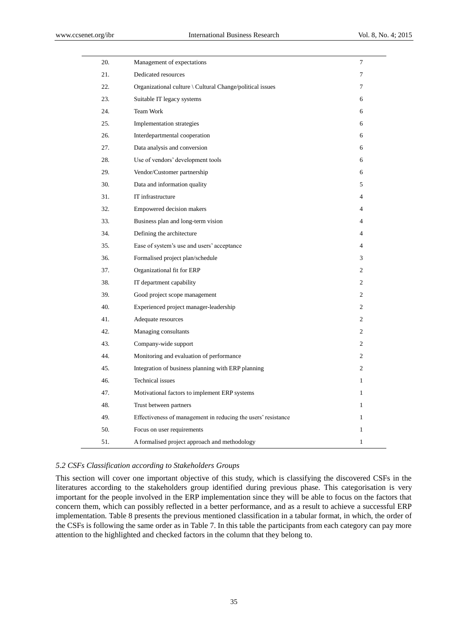| 20. | Management of expectations                                    | 7              |
|-----|---------------------------------------------------------------|----------------|
| 21. | Dedicated resources                                           | 7              |
| 22. | Organizational culture \ Cultural Change/political issues     | 7              |
| 23. | Suitable IT legacy systems                                    | 6              |
| 24. | <b>Team Work</b>                                              | 6              |
| 25. | Implementation strategies                                     | 6              |
| 26. | Interdepartmental cooperation                                 | 6              |
| 27. | Data analysis and conversion                                  | 6              |
| 28. | Use of vendors' development tools                             | 6              |
| 29. | Vendor/Customer partnership                                   | 6              |
| 30. | Data and information quality                                  | 5              |
| 31. | IT infrastructure                                             | 4              |
| 32. | Empowered decision makers                                     | 4              |
| 33. | Business plan and long-term vision                            | 4              |
| 34. | Defining the architecture                                     | 4              |
| 35. | Ease of system's use and users' acceptance                    | 4              |
| 36. | Formalised project plan/schedule                              | 3              |
| 37. | Organizational fit for ERP                                    | 2              |
| 38. | IT department capability                                      | 2              |
| 39. | Good project scope management                                 | 2              |
| 40. | Experienced project manager-leadership                        | 2              |
| 41. | Adequate resources                                            | $\overline{c}$ |
| 42. | Managing consultants                                          | $\mathfrak{2}$ |
| 43. | Company-wide support                                          | $\overline{c}$ |
| 44. | Monitoring and evaluation of performance                      | 2              |
| 45. | Integration of business planning with ERP planning            | $\overline{c}$ |
| 46. | <b>Technical</b> issues                                       | 1              |
| 47. | Motivational factors to implement ERP systems                 | $\mathbf{1}$   |
| 48. | Trust between partners                                        | $\mathbf{1}$   |
| 49. | Effectiveness of management in reducing the users' resistance | 1              |
| 50. | Focus on user requirements                                    | 1              |
| 51. | A formalised project approach and methodology                 | 1              |

## *5.2 CSFs Classification according to Stakeholders Groups*

This section will cover one important objective of this study, which is classifying the discovered CSFs in the literatures according to the stakeholders group identified during previous phase. This categorisation is very important for the people involved in the ERP implementation since they will be able to focus on the factors that concern them, which can possibly reflected in a better performance, and as a result to achieve a successful ERP implementation. Table 8 presents the previous mentioned classification in a tabular format, in which, the order of the CSFs is following the same order as in Table 7. In this table the participants from each category can pay more attention to the highlighted and checked factors in the column that they belong to.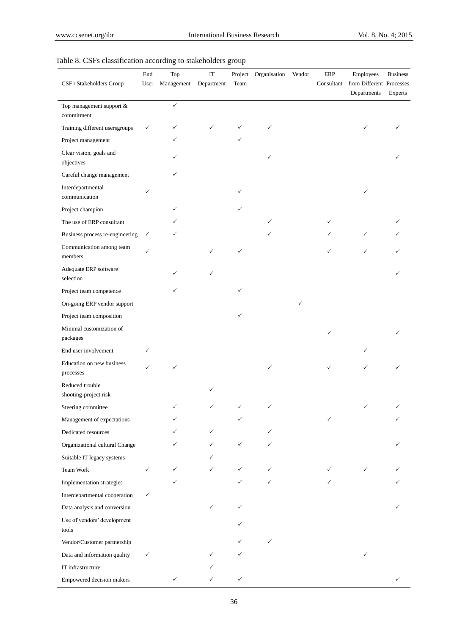| CSF \ Stakeholders Group                 | End<br>User  | Top<br>Management | $\operatorname{IT}$<br>Department | Team | Project Organisation | Vendor | ERP<br>Consultant | Employees<br>from Different Processes<br>Departments | <b>Business</b><br>Experts |
|------------------------------------------|--------------|-------------------|-----------------------------------|------|----------------------|--------|-------------------|------------------------------------------------------|----------------------------|
| Top management support &<br>commitment   |              | $\checkmark$      |                                   |      |                      |        |                   |                                                      |                            |
| Training different usersgroups           | ✓            | ✓                 |                                   |      | ✓                    |        |                   |                                                      |                            |
| Project management                       |              | ✓                 |                                   |      |                      |        |                   |                                                      |                            |
| Clear vision, goals and<br>objectives    |              |                   |                                   |      | ✓                    |        |                   |                                                      |                            |
| Careful change management                |              |                   |                                   |      |                      |        |                   |                                                      |                            |
| Interdepartmental<br>communication       |              |                   |                                   |      |                      |        |                   | ✓                                                    |                            |
| Project champion                         |              |                   |                                   |      |                      |        |                   |                                                      |                            |
| The use of ERP consultant                |              |                   |                                   |      |                      |        |                   |                                                      |                            |
| Business process re-engineering          | ✓            |                   |                                   |      |                      |        |                   | ✓                                                    |                            |
| Communication among team<br>members      |              |                   |                                   | ✓    |                      |        |                   |                                                      |                            |
| Adequate ERP software<br>selection       |              |                   |                                   |      |                      |        |                   |                                                      |                            |
| Project team competence                  |              | ✓                 |                                   |      |                      |        |                   |                                                      |                            |
| On-going ERP vendor support              |              |                   |                                   |      |                      | ✓      |                   |                                                      |                            |
| Project team composition                 |              |                   |                                   |      |                      |        |                   |                                                      |                            |
| Minimal customization of<br>packages     |              |                   |                                   |      |                      |        | ✓                 |                                                      |                            |
| End user involvement                     |              |                   |                                   |      |                      |        |                   |                                                      |                            |
| Education on new business<br>processes   |              | ✓                 |                                   |      |                      |        | ✓                 |                                                      |                            |
| Reduced trouble<br>shooting-project risk |              |                   |                                   |      |                      |        |                   |                                                      |                            |
| Steering committee                       |              |                   |                                   |      |                      |        |                   |                                                      |                            |
| Management of expectations               |              |                   |                                   |      |                      |        |                   |                                                      |                            |
| Dedicated resources                      |              |                   |                                   |      |                      |        |                   |                                                      |                            |
| Organizational cultural Change           |              | ✓                 | ✓                                 | ✓    |                      |        |                   |                                                      |                            |
| Suitable IT legacy systems               |              |                   |                                   |      |                      |        |                   |                                                      |                            |
| Team Work                                | $\checkmark$ | ✓                 |                                   | ✓    | ✓                    |        | ✓                 | ✓                                                    |                            |
| Implementation strategies                |              | ✓                 |                                   |      | ✓                    |        |                   |                                                      |                            |
| Interdepartmental cooperation            | $\checkmark$ |                   |                                   |      |                      |        |                   |                                                      |                            |
| Data analysis and conversion             |              |                   | ✓                                 | ✓    |                      |        |                   |                                                      |                            |
| Use of vendors' development<br>tools     |              |                   |                                   |      |                      |        |                   |                                                      |                            |
| Vendor/Customer partnership              |              |                   |                                   |      | ✓                    |        |                   |                                                      |                            |
| Data and information quality             | ✓            |                   |                                   |      |                      |        |                   | ✓                                                    |                            |
| IT infrastructure                        |              |                   |                                   |      |                      |        |                   |                                                      |                            |
| Empowered decision makers                |              |                   |                                   | ✓    |                      |        |                   |                                                      |                            |

## Table 8. CSFs classification according to stakeholders group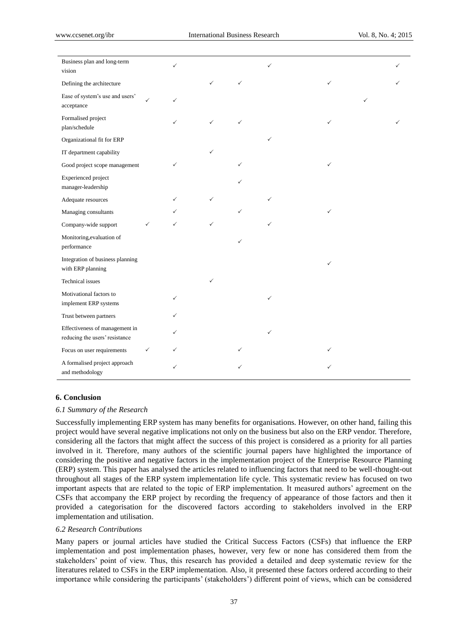| Business plan and long-term<br>vision                            |   | ✓ |   |              | ✓ |   |  |
|------------------------------------------------------------------|---|---|---|--------------|---|---|--|
| Defining the architecture                                        |   |   | ✓ | $\checkmark$ |   | ✓ |  |
| Ease of system's use and users'<br>acceptance                    |   | ✓ |   |              |   |   |  |
| Formalised project<br>plan/schedule                              |   |   | ✓ | ✓            |   | ✓ |  |
| Organizational fit for ERP                                       |   |   |   |              | ✓ |   |  |
| IT department capability                                         |   |   | ✓ |              |   |   |  |
| Good project scope management                                    |   | ✓ |   | ✓            |   | ✓ |  |
| <b>Experienced</b> project<br>manager-leadership                 |   |   |   |              |   |   |  |
| Adequate resources                                               |   |   | ✓ |              | ✓ |   |  |
| Managing consultants                                             |   |   |   | ✓            |   | ✓ |  |
| Company-wide support                                             | ✓ | ✓ | ✓ |              | ✓ |   |  |
| Monitoring, evaluation of<br>performance                         |   |   |   | ✓            |   |   |  |
| Integration of business planning<br>with ERP planning            |   |   |   |              |   | ✓ |  |
| Technical issues                                                 |   |   |   |              |   |   |  |
| Motivational factors to<br>implement ERP systems                 |   | ✓ |   |              | ✓ |   |  |
| Trust between partners                                           |   |   |   |              |   |   |  |
| Effectiveness of management in<br>reducing the users' resistance |   |   |   |              | ✓ |   |  |
| Focus on user requirements                                       | ✓ | ✓ |   | ✓            |   | ✓ |  |
| A formalised project approach<br>and methodology                 |   | ✓ |   |              |   |   |  |

#### **6. Conclusion**

### *6.1 Summary of the Research*

Successfully implementing ERP system has many benefits for organisations. However, on other hand, failing this project would have several negative implications not only on the business but also on the ERP vendor. Therefore, considering all the factors that might affect the success of this project is considered as a priority for all parties involved in it. Therefore, many authors of the scientific journal papers have highlighted the importance of considering the positive and negative factors in the implementation project of the Enterprise Resource Planning (ERP) system. This paper has analysed the articles related to influencing factors that need to be well-thought-out throughout all stages of the ERP system implementation life cycle. This systematic review has focused on two important aspects that are related to the topic of ERP implementation. It measured authors' agreement on the CSFs that accompany the ERP project by recording the frequency of appearance of those factors and then it provided a categorisation for the discovered factors according to stakeholders involved in the ERP implementation and utilisation.

## *6.2 Research Contributions*

Many papers or journal articles have studied the Critical Success Factors (CSFs) that influence the ERP implementation and post implementation phases, however, very few or none has considered them from the stakeholders' point of view. Thus, this research has provided a detailed and deep systematic review for the literatures related to CSFs in the ERP implementation. Also, it presented these factors ordered according to their importance while considering the participants' (stakeholders') different point of views, which can be considered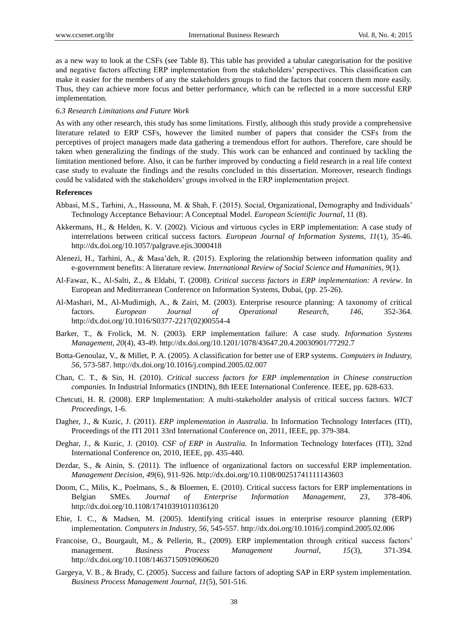as a new way to look at the CSFs (see Table 8). This table has provided a tabular categorisation for the positive and negative factors affecting ERP implementation from the stakeholders' perspectives. This classification can make it easier for the members of any the stakeholders groups to find the factors that concern them more easily. Thus, they can achieve more focus and better performance, which can be reflected in a more successful ERP implementation.

#### *6.3 Research Limitations and Future Work*

As with any other research, this study has some limitations. Firstly, although this study provide a comprehensive literature related to ERP CSFs, however the limited number of papers that consider the CSFs from the perceptives of project managers made data gathering a tremendous effort for authors. Therefore, care should be taken when generalizing the findings of the study. This work can be enhanced and continued by tackling the limitation mentioned before. Also, it can be further improved by conducting a field research in a real life context case study to evaluate the findings and the results concluded in this dissertation. Moreover, research findings could be validated with the stakeholders' groups involved in the ERP implementation project.

#### **References**

- Abbasi, M.S., Tarhini, A., Hassouna, M. & Shah, F. (2015). Social, Organizational, Demography and Individuals' Technology Acceptance Behaviour: A Conceptual Model*. European Scientific Journal*, 11 (8).
- Akkermans, H., & Helden, K. V. (2002). Vicious and virtuous cycles in ERP implementation: A case study of interrelations between critical success factors. *European Journal of Information Systems, 11*(1), 35-46. http://dx.doi.org/10.1057/palgrave.ejis.3000418
- Alenezi, H., Tarhini, A., & Masa'deh, R. (2015). Exploring the relationship between information quality and e-government benefits: A literature review. *International Review of Social Science and Humanities, 9*(1).
- Al-Fawaz, K., Al-Salti, Z., & Eldabi, T. (2008). *Critical success factors in ERP implementation: A review*. In European and Mediterranean Conference on Information Systems, Dubai, (pp. 25-26).
- Al-Mashari, M., Al-Mudimigh, A., & Zairi, M. (2003). Enterprise resource planning: A taxonomy of critical factors. *European Journal of Operational Research*, *146*, 352-364. http://dx.doi.org/10.1016/S0377-2217(02)00554-4
- Barker, T., & Frolick, M. N. (2003). ERP implementation failure: A case study. *Information Systems Management, 20*(4), 43-49. http://dx.doi.org/10.1201/1078/43647.20.4.20030901/77292.7
- Botta-Genoulaz, V., & Millet, P. A. (2005). A classification for better use of ERP systems. *Computers in Industry, 56*, 573-587. http://dx.doi.org/10.1016/j.compind.2005.02.007
- Chan, C. T., & Sin, H. (2010). *Critical success factors for ERP implementation in Chinese construction companies.* In Industrial Informatics (INDIN), 8th IEEE International Conference. IEEE, pp. 628-633.
- Chetcuti, H. R. (2008). ERP Implementation: A multi-stakeholder analysis of critical success factors. *WICT Proceedings*, 1-6.
- Dagher, J., & Kuzic, J. (2011). *ERP implementation in Australia.* In Information Technology Interfaces (ITI), Proceedings of the ITI 2011 33rd International Conference on, 2011, IEEE, pp. 379-384.
- Deghar, J., & Kuzic, J. (2010). *CSF of ERP in Australia.* In Information Technology Interfaces (ITI), 32nd International Conference on, 2010, IEEE, pp. 435-440.
- Dezdar, S., & Ainin, S. (2011). The influence of organizational factors on successful ERP implementation. *Management Decision, 49*(6), 911-926. http://dx.doi.org/10.1108/00251741111143603
- Doom, C., Milis, K., Poelmans, S., & Bloemen, E. (2010). Critical success factors for ERP implementations in Belgian SMEs. *Journal of Enterprise Information Management, 23*, 378-406. http://dx.doi.org/10.1108/17410391011036120
- Ehie, I. C., & Madsen, M. (2005). Identifying critical issues in enterprise resource planning (ERP) implementation. *Computers in Industry, 56*, 545-557. http://dx.doi.org/10.1016/j.compind.2005.02.006
- Francoise, O., Bourgault, M., & Pellerin, R., (2009). ERP implementation through critical success factors' management. *Business Process Management Journal, 15*(3), 371-394. http://dx.doi.org/10.1108/14637150910960620
- Gargeya, V. B., & Brady, C. (2005). Success and failure factors of adopting SAP in ERP system implementation. *Business Process Management Journal, 11*(5), 501-516.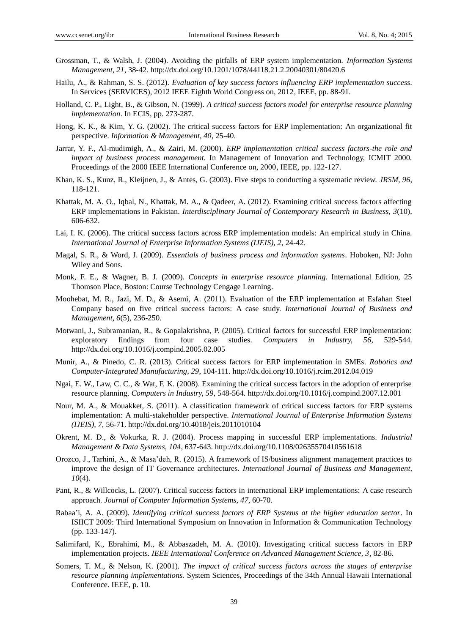- Grossman, T., & Walsh, J. (2004). Avoiding the pitfalls of ERP system implementation. *Information Systems Management, 21*, 38-42. http://dx.doi.org/10.1201/1078/44118.21.2.20040301/80420.6
- Hailu, A., & Rahman, S. S. (2012). *Evaluation of key success factors influencing ERP implementation success*. In Services (SERVICES), 2012 IEEE Eighth World Congress on, 2012, IEEE, pp. 88-91.
- Holland, C. P., Light, B., & Gibson, N. (1999). *A critical success factors model for enterprise resource planning implementation*. In ECIS, pp. 273-287.
- Hong, K. K., & Kim, Y. G. (2002). The critical success factors for ERP implementation: An organizational fit perspective. *Information & Management, 40*, 25-40.
- Jarrar, Y. F., Al-mudimigh, A., & Zairi, M. (2000). *ERP implementation critical success factors-the role and impact of business process management.* In Management of Innovation and Technology, ICMIT 2000. Proceedings of the 2000 IEEE International Conference on, 2000, IEEE, pp. 122-127.
- Khan, K. S., Kunz, R., Kleijnen, J., & Antes, G. (2003). Five steps to conducting a systematic review. *JRSM, 96*, 118-121.
- Khattak, M. A. O., Iqbal, N., Khattak, M. A., & Qadeer, A. (2012). Examining critical success factors affecting ERP implementations in Pakistan. *Interdisciplinary Journal of Contemporary Research in Business, 3*(10), 606-632.
- Lai, I. K. (2006). The critical success factors across ERP implementation models: An empirical study in China. *International Journal of Enterprise Information Systems (IJEIS), 2*, 24-42.
- Magal, S. R., & Word, J. (2009). *Essentials of business process and information systems*. Hoboken, NJ: John Wiley and Sons.
- Monk, F. E., & Wagner, B. J. (2009). *Concepts in enterprise resource planning*. International Edition, 25 Thomson Place, Boston: Course Technology Cengage Learning.
- Moohebat, M. R., Jazi, M. D., & Asemi, A. (2011). Evaluation of the ERP implementation at Esfahan Steel Company based on five critical success factors: A case study. *International Journal of Business and Management, 6*(5), 236-250.
- Motwani, J., Subramanian, R., & Gopalakrishna, P. (2005). Critical factors for successful ERP implementation: exploratory findings from four case studies. *Computers in Industry, 56*, 529-544. http://dx.doi.org/10.1016/j.compind.2005.02.005
- Munir, A., & Pinedo, C. R. (2013). Critical success factors for ERP implementation in SMEs*. Robotics and Computer-Integrated Manufacturing, 29*, 104-111. http://dx.doi.org/10.1016/j.rcim.2012.04.019
- Ngai, E. W., Law, C. C., & Wat, F. K. (2008). Examining the critical success factors in the adoption of enterprise resource planning. *Computers in Industry, 59*, 548-564. http://dx.doi.org/10.1016/j.compind.2007.12.001
- Nour, M. A., & Mouakket, S. (2011). A classification framework of critical success factors for ERP systems implementation: A multi-stakeholder perspective. *International Journal of Enterprise Information Systems (IJEIS), 7,* 56-71. http://dx.doi.org/10.4018/jeis.2011010104
- Okrent, M. D., & Vokurka, R. J. (2004). Process mapping in successful ERP implementations. *Industrial Management & Data Systems, 104*, 637-643. http://dx.doi.org/10.1108/02635570410561618
- Orozco, J., Tarhini, A., & Masa'deh, R. (2015). A framework of IS/business alignment management practices to improve the design of IT Governance architectures. *International Journal of Business and Management, 10*(4).
- Pant, R., & Willcocks, L. (2007). Critical success factors in international ERP implementations: A case research approach. *Journal of Computer Information Systems, 47*, 60-70.
- Rabaa'i, A. A. (2009). *Identifying critical success factors of ERP Systems at the higher education sector*. In ISIICT 2009: Third International Symposium on Innovation in Information & Communication Technology (pp. 133-147).
- Salimifard, K., Ebrahimi, M., & Abbaszadeh, M. A. (2010). Investigating critical success factors in ERP implementation projects. *IEEE International Conference on Advanced Management Science, 3*, 82-86.
- Somers, T. M., & Nelson, K. (2001). *The impact of critical success factors across the stages of enterprise resource planning implementations.* System Sciences, Proceedings of the 34th Annual Hawaii International Conference. IEEE, p. 10.